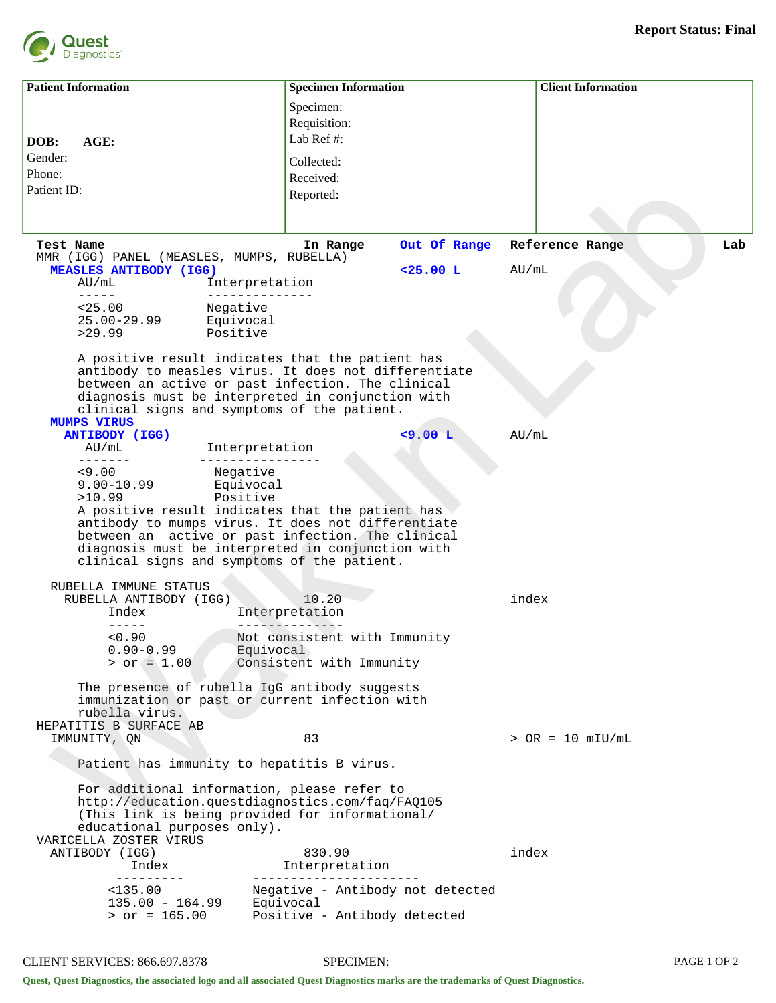

**Patient Information Specimen Information Client Information Client Information DOB: AGE:**  Gender: Phone: Patient ID: Specimen: Requisition: Lab Ref #: Collected: Received: Reported: **Test Name In Range Out Of Range Reference Range Lab** MMR (IGG) PANEL (MEASLES, MUMPS, RUBELLA) **MEASLES ANTIBODY (IGG) <25.00 L** AU/mL AU/mL Interpretation ----- -------------- Negative 25.00-29.99 Equivocal Positive A positive result indicates that the patient has antibody to measles virus. It does not differentiate between an active or past infection. The clinical diagnosis must be interpreted in conjunction with clinical signs and symptoms of the patient. **MUMPS VIRUS ANTIBODY (IGG) <9.00 L** AU/mL Interpretation ------- ---------------- Negative<br>Equivocal  $9.00 - 10.99$ >10.99 Positive A positive result indicates that the patient has antibody to mumps virus. It does not differentiate between an active or past infection. The clinical diagnosis must be interpreted in conjunction with clinical signs and symptoms of the patient. RUBELLA IMMUNE STATUS RUBELLA ANTIBODY (IGG) 10.20 index<br>Index Interpretation Interpretation ----- -------------- Not consistent with Immunity  $0.90-0.99$  Equivocal<br>  $>$  or  $=$  1.00 Consistent Consistent with Immunity The presence of rubella IgG antibody suggests immunization or past or current infection with rubella virus. HEPATITIS B SURFACE AB<br>IMMUNITY, ON  $83$  > OR = 10 mIU/mL Patient has immunity to hepatitis B virus. For additional information, please refer to http://education.questdiagnostics.com/faq/FAQ105 (This link is being provided for informational/ educational purposes only). VARICELLA ZOSTER VIRUS ANTIBODY (IGG) 830.90 index http://www.findex http://www.findex Index Interpretation --------- ---------------------- Negative - Antibody not detected<br>Equivocal  $135.00 - 164.99$ > or = 165.00 Positive - Antibody detected set Name<br>
with Name<br>
and D.S. (2011 DANGL: HRAGLES, MUNIS, RUSELEA)<br>
ENDERGATION (100 Interpretation 425.00 L AU/oliginal Solution 100 Interpretation<br>
12.2010 Property:<br>
12.2012 Property and D.S. (100 Interpretation 425.0